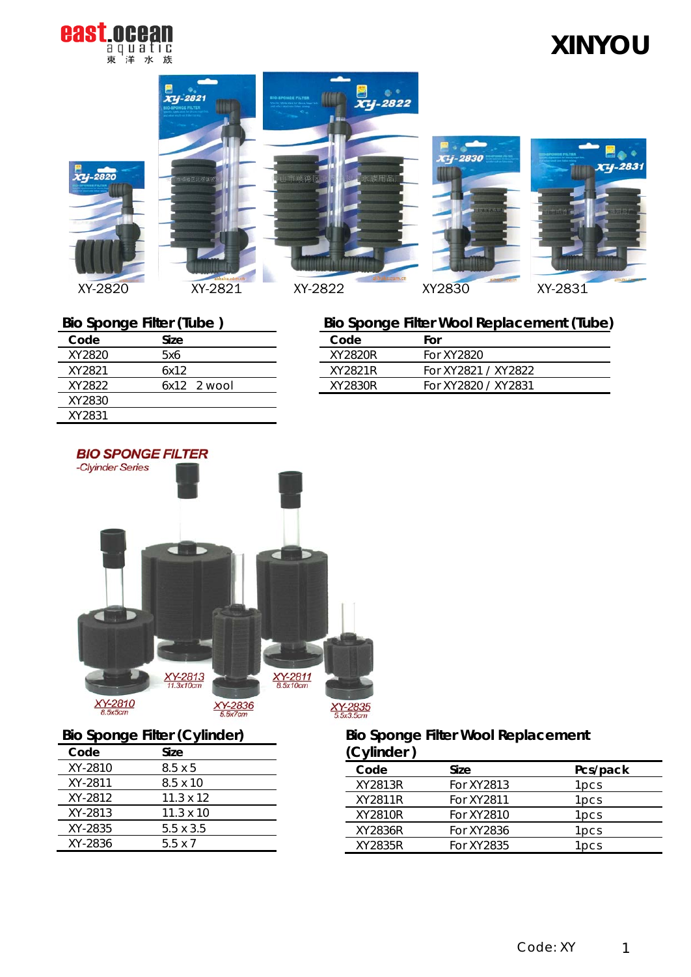

# **XINYOU**

 $74 - 2831$ 







## **Bio Sponge Filter (Tube )**

| Code   | Size          |
|--------|---------------|
| XY2820 | 5x6           |
| XY2821 | 6x12          |
| XY2822 | $6x12$ 2 wool |
| XY2830 |               |
| XY2831 |               |



### **Bio Sponge Filter (Cylinder)**

| Code    | Size             |
|---------|------------------|
| XY-2810 | 8.5 x 5          |
| XY-2811 | $8.5 \times 10$  |
| XY-2812 | $11.3 \times 12$ |
| XY-2813 | $11.3 \times 10$ |
| XY-2835 | 5.5 x 3.5        |
| XY-2836 | 55 x 7           |

## **Bio Sponge Filter Wool Replacement (Tube)**

 $\overline{\phantom{a}}$ XY-2830

| Code    | For                 |
|---------|---------------------|
| XY2820R | For XY2820          |
| XY2821R | For XY2821 / XY2822 |
| XY2830R | For XY2820 / XY2831 |
|         |                     |

### **Bio Sponge Filter Wool Replacement (Cylinder )**

| (Uyunuu j |            |                  |
|-----------|------------|------------------|
| Code      | Size       | Pcs/pack         |
| XY2813R   | For XY2813 | 1pcs             |
| XY2811R   | For XY2811 | 1pcs             |
| XY2810R   | For XY2810 | 1 <sub>pcs</sub> |
| XY2836R   | For XY2836 | 1 <sub>pcs</sub> |
| XY2835R   | For XY2835 | l pcs            |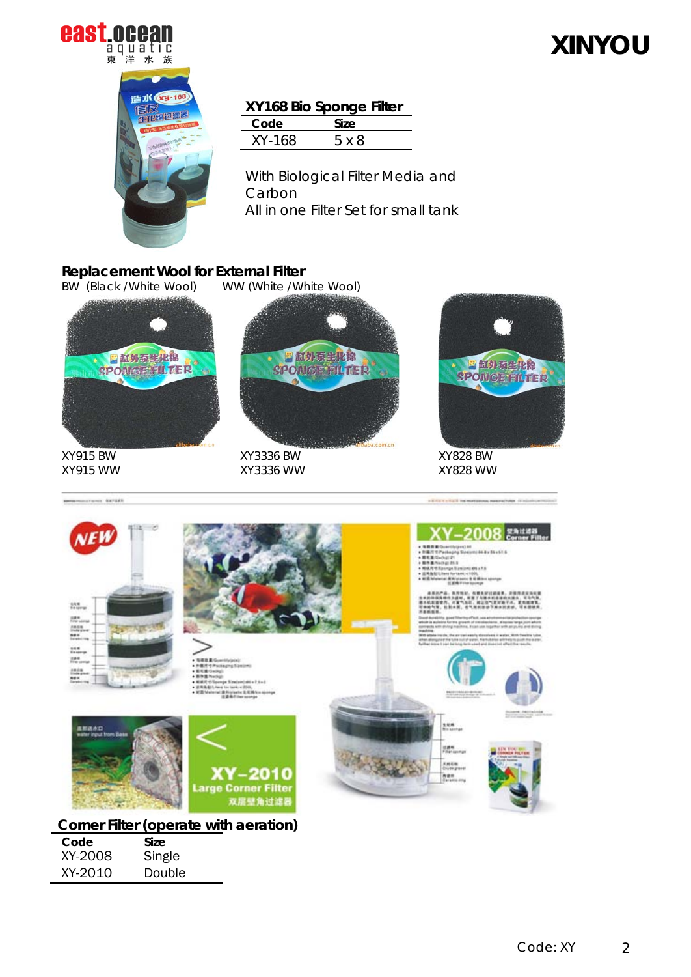

# **XINYOU**



### **XY168 Bio Sponge Filter**

| Code   | Size. |  |
|--------|-------|--|
| XY-168 | 5 x 8 |  |

With Biological Filter Media and Carbon All in one Filter Set for small tank

## **Replacement Wool for External Filter**<br>**BW (Black/White Wool)** WW (White/Wi

WW (White /White Wool)



XY915 BW XY915 WW

montant exter



XY3336 BW XY3336 WW



XY828 BW XY828 WW



**Corner Filter (operate with aeration)**

| Code    | Size   |
|---------|--------|
| XY-2008 | Single |
| XY-2010 | Double |